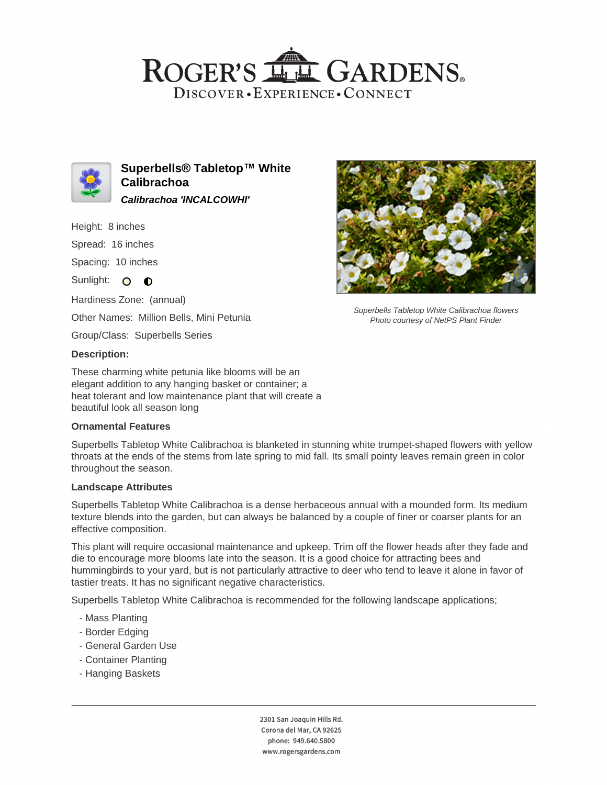## ROGER'S LL GARDENS. DISCOVER · EXPERIENCE · CONNECT



**Superbells® Tabletop™ White Calibrachoa Calibrachoa 'INCALCOWHI'**

Height: 8 inches

Spread: 16 inches

Spacing: 10 inches

Sunlight: O O

Hardiness Zone: (annual)

Other Names: Million Bells, Mini Petunia

Group/Class: Superbells Series

## **Description:**

These charming white petunia like blooms will be an elegant addition to any hanging basket or container; a heat tolerant and low maintenance plant that will create a beautiful look all season long

#### **Ornamental Features**

Superbells Tabletop White Calibrachoa is blanketed in stunning white trumpet-shaped flowers with yellow throats at the ends of the stems from late spring to mid fall. Its small pointy leaves remain green in color throughout the season.

#### **Landscape Attributes**

Superbells Tabletop White Calibrachoa is a dense herbaceous annual with a mounded form. Its medium texture blends into the garden, but can always be balanced by a couple of finer or coarser plants for an effective composition.

This plant will require occasional maintenance and upkeep. Trim off the flower heads after they fade and die to encourage more blooms late into the season. It is a good choice for attracting bees and hummingbirds to your yard, but is not particularly attractive to deer who tend to leave it alone in favor of tastier treats. It has no significant negative characteristics.

Superbells Tabletop White Calibrachoa is recommended for the following landscape applications;

- Mass Planting
- Border Edging
- General Garden Use
- Container Planting
- Hanging Baskets



Superbells Tabletop White Calibrachoa flowers Photo courtesy of NetPS Plant Finder

2301 San Joaquin Hills Rd. Corona del Mar, CA 92625 phone: 949.640.5800 www.rogersgardens.com